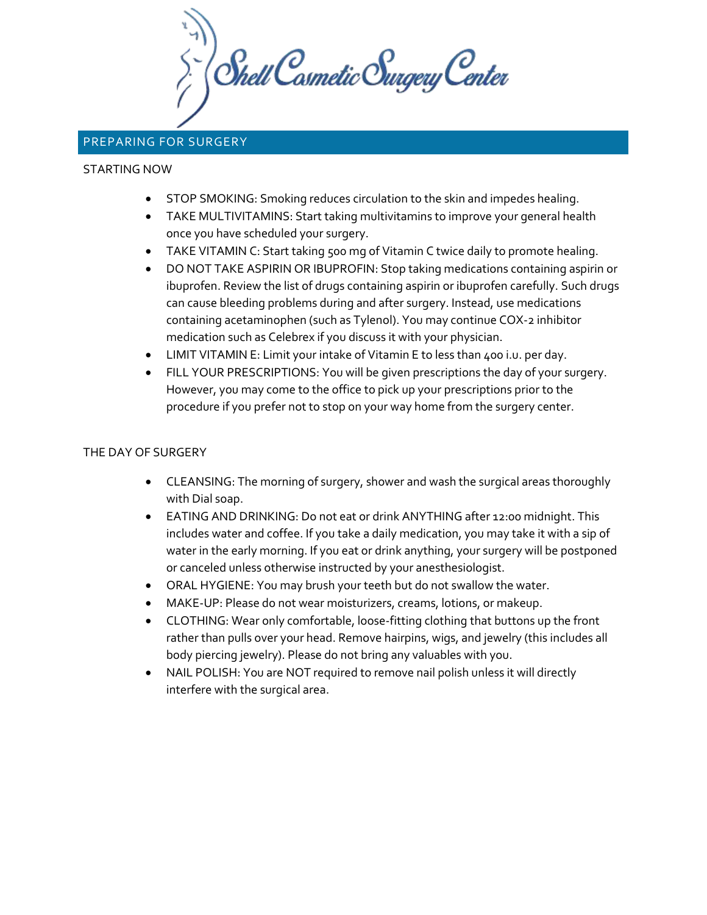**Shell Casmetic Surgery Center** 

# PREPARING FOR SURGERY

#### STARTING NOW

- STOP SMOKING: Smoking reduces circulation to the skin and impedes healing.
- TAKE MULTIVITAMINS: Start taking multivitamins to improve your general health once you have scheduled your surgery.
- TAKE VITAMIN C: Start taking 500 mg of Vitamin C twice daily to promote healing.
- DO NOT TAKE ASPIRIN OR IBUPROFIN: Stop taking medications containing aspirin or ibuprofen. Review the list of drugs containing aspirin or ibuprofen carefully. Such drugs can cause bleeding problems during and after surgery. Instead, use medications containing acetaminophen (such as Tylenol). You may continue COX-2 inhibitor medication such as Celebrex if you discuss it with your physician.
- LIMIT VITAMIN E: Limit your intake of Vitamin E to less than 400 i.u. per day.
- FILL YOUR PRESCRIPTIONS: You will be given prescriptions the day of your surgery. However, you may come to the office to pick up your prescriptions prior to the procedure if you prefer not to stop on your way home from the surgery center.

#### THE DAY OF SURGERY

- CLEANSING: The morning of surgery, shower and wash the surgical areas thoroughly with Dial soap.
- EATING AND DRINKING: Do not eat or drink ANYTHING after 12:00 midnight. This includes water and coffee. If you take a daily medication, you may take it with a sip of water in the early morning. If you eat or drink anything, your surgery will be postponed or canceled unless otherwise instructed by your anesthesiologist.
- ORAL HYGIENE: You may brush your teeth but do not swallow the water.
- MAKE-UP: Please do not wear moisturizers, creams, lotions, or makeup.
- CLOTHING: Wear only comfortable, loose-fitting clothing that buttons up the front rather than pulls over your head. Remove hairpins, wigs, and jewelry (this includes all body piercing jewelry). Please do not bring any valuables with you.
- NAIL POLISH: You are NOT required to remove nail polish unless it will directly interfere with the surgical area.